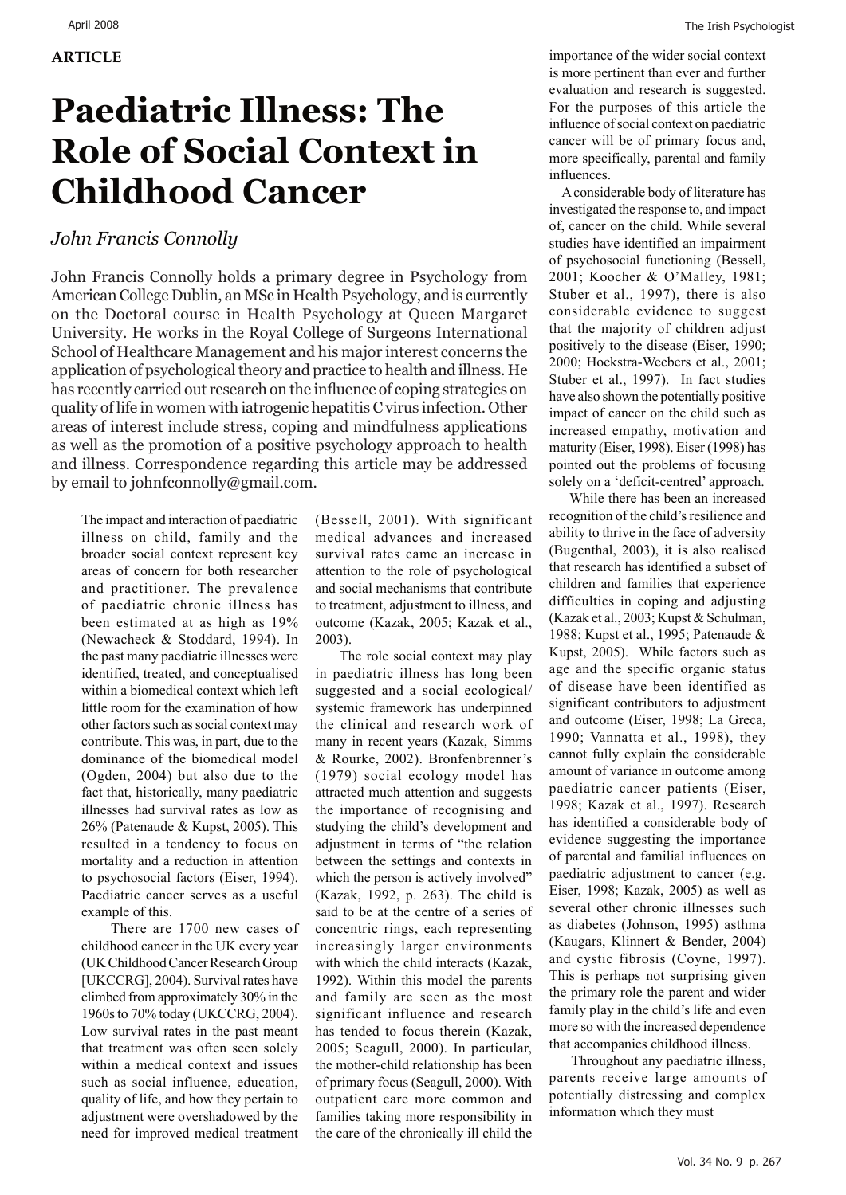## **Paediatric Illness: The Role of Social Context in Childhood Cancer**

## *John Francis Connolly*

John Francis Connolly holds a primary degree in Psychology from American College Dublin, an MSc in Health Psychology, and is currently on the Doctoral course in Health Psychology at Queen Margaret University. He works in the Royal College of Surgeons International School of Healthcare Management and his major interest concerns the application of psychological theory and practice to health and illness. He has recently carried out research on the influence of coping strategies on quality of life in women with iatrogenic hepatitis C virus infection. Other areas of interest include stress, coping and mindfulness applications as well as the promotion of a positive psychology approach to health and illness. Correspondence regarding this article may be addressed by email to johnfconnolly@gmail.com.

The impact and interaction of paediatric illness on child, family and the broader social context represent key areas of concern for both researcher and practitioner. The prevalence of paediatric chronic illness has been estimated at as high as 19% (Newacheck & Stoddard, 1994). In the past many paediatric illnesses were identified, treated, and conceptualised within a biomedical context which left little room for the examination of how other factors such as social context may contribute. This was, in part, due to the dominance of the biomedical model (Ogden, 2004) but also due to the fact that, historically, many paediatric illnesses had survival rates as low as 26% (Patenaude & Kupst, 2005). This resulted in a tendency to focus on mortality and a reduction in attention to psychosocial factors (Eiser, 1994). Paediatric cancer serves as a useful example of this.

 There are 1700 new cases of childhood cancer in the UK every year (UK Childhood Cancer Research Group [UKCCRG], 2004). Survival rates have climbed from approximately 30% in the 1960s to 70% today (UKCCRG, 2004). Low survival rates in the past meant that treatment was often seen solely within a medical context and issues such as social influence, education, quality of life, and how they pertain to adjustment were overshadowed by the need for improved medical treatment

(Bessell, 2001). With significant medical advances and increased survival rates came an increase in attention to the role of psychological and social mechanisms that contribute to treatment, adjustment to illness, and outcome (Kazak, 2005; Kazak et al., 2003).

 The role social context may play in paediatric illness has long been suggested and a social ecological/ systemic framework has underpinned the clinical and research work of many in recent years (Kazak, Simms & Rourke, 2002). Bronfenbrenner's (1979) social ecology model has attracted much attention and suggests the importance of recognising and studying the child's development and adjustment in terms of "the relation between the settings and contexts in which the person is actively involved" (Kazak, 1992, p. 263). The child is said to be at the centre of a series of concentric rings, each representing increasingly larger environments with which the child interacts (Kazak, 1992). Within this model the parents and family are seen as the most significant influence and research has tended to focus therein (Kazak, 2005; Seagull, 2000). In particular, the mother-child relationship has been of primary focus (Seagull, 2000). With outpatient care more common and families taking more responsibility in the care of the chronically ill child the

importance of the wider social context is more pertinent than ever and further evaluation and research is suggested. For the purposes of this article the influence of social context on paediatric cancer will be of primary focus and, more specifically, parental and family influences.

 A considerable body of literature has investigated the response to, and impact of, cancer on the child. While several studies have identified an impairment of psychosocial functioning (Bessell, 2001; Koocher & O'Malley, 1981; Stuber et al., 1997), there is also considerable evidence to suggest that the majority of children adjust positively to the disease (Eiser, 1990; 2000; Hoekstra-Weebers et al., 2001; Stuber et al., 1997). In fact studies have also shown the potentially positive impact of cancer on the child such as increased empathy, motivation and maturity (Eiser, 1998). Eiser (1998) has pointed out the problems of focusing solely on a 'deficit-centred' approach.

 While there has been an increased recognition of the child's resilience and ability to thrive in the face of adversity (Bugenthal, 2003), it is also realised that research has identified a subset of children and families that experience difficulties in coping and adjusting (Kazak et al., 2003; Kupst & Schulman, 1988; Kupst et al., 1995; Patenaude & Kupst, 2005). While factors such as age and the specific organic status of disease have been identified as significant contributors to adjustment and outcome (Eiser, 1998; La Greca, 1990; Vannatta et al., 1998), they cannot fully explain the considerable amount of variance in outcome among paediatric cancer patients (Eiser, 1998; Kazak et al., 1997). Research has identified a considerable body of evidence suggesting the importance of parental and familial influences on paediatric adjustment to cancer (e.g. Eiser, 1998; Kazak, 2005) as well as several other chronic illnesses such as diabetes (Johnson, 1995) asthma (Kaugars, Klinnert & Bender, 2004) and cystic fibrosis (Coyne, 1997). This is perhaps not surprising given the primary role the parent and wider family play in the child's life and even more so with the increased dependence that accompanies childhood illness.

 Throughout any paediatric illness, parents receive large amounts of potentially distressing and complex information which they must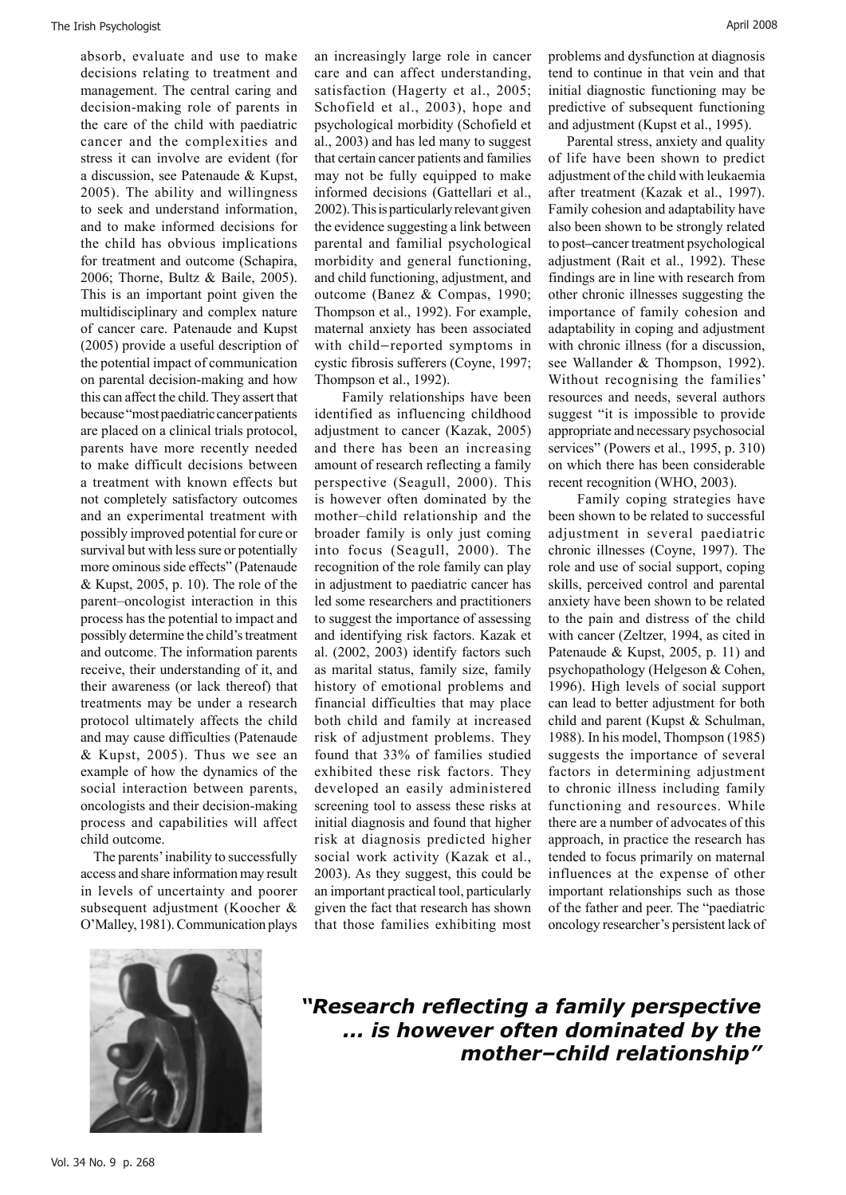absorb, evaluate and use to make decisions relating to treatment and management. The central caring and decision-making role of parents in the care of the child with paediatric cancer and the complexities and stress it can involve are evident (for a discussion, see Patenaude & Kupst, 2005). The ability and willingness to seek and understand information, and to make informed decisions for the child has obvious implications for treatment and outcome (Schapira, 2006; Thorne, Bultz & Baile, 2005). This is an important point given the multidisciplinary and complex nature of cancer care. Patenaude and Kupst (2005) provide a useful description of the potential impact of communication on parental decision-making and how this can affect the child. They assert that because "most paediatric cancer patients are placed on a clinical trials protocol, parents have more recently needed to make difficult decisions between a treatment with known effects but not completely satisfactory outcomes and an experimental treatment with possibly improved potential for cure or survival but with less sure or potentially more ominous side effects" (Patenaude & Kupst, 2005, p. 10). The role of the parent–oncologist interaction in this process has the potential to impact and possibly determine the child's treatment and outcome. The information parents receive, their understanding of it, and their awareness (or lack thereof) that treatments may be under a research protocol ultimately affects the child and may cause difficulties (Patenaude & Kupst, 2005). Thus we see an example of how the dynamics of the social interaction between parents, oncologists and their decision-making process and capabilities will affect child outcome.

 The parents' inability to successfully access and share information may result in levels of uncertainty and poorer subsequent adjustment (Koocher & O'Malley, 1981). Communication plays an increasingly large role in cancer care and can affect understanding, satisfaction (Hagerty et al., 2005; Schofield et al., 2003), hope and psychological morbidity (Schofield et al., 2003) and has led many to suggest that certain cancer patients and families may not be fully equipped to make informed decisions (Gattellari et al., 2002). This is particularly relevant given the evidence suggesting a link between parental and familial psychological morbidity and general functioning, and child functioning, adjustment, and outcome (Banez & Compas, 1990; Thompson et al., 1992). For example, maternal anxiety has been associated with child–reported symptoms in cystic fibrosis sufferers (Coyne, 1997; Thompson et al., 1992).

 Family relationships have been identified as influencing childhood adjustment to cancer (Kazak, 2005) and there has been an increasing amount of research reflecting a family perspective (Seagull, 2000). This is however often dominated by the mother–child relationship and the broader family is only just coming into focus (Seagull, 2000). The recognition of the role family can play in adjustment to paediatric cancer has led some researchers and practitioners to suggest the importance of assessing and identifying risk factors. Kazak et al. (2002, 2003) identify factors such as marital status, family size, family history of emotional problems and financial difficulties that may place both child and family at increased risk of adjustment problems. They found that 33% of families studied exhibited these risk factors. They developed an easily administered screening tool to assess these risks at initial diagnosis and found that higher risk at diagnosis predicted higher social work activity (Kazak et al., 2003). As they suggest, this could be an important practical tool, particularly given the fact that research has shown that those families exhibiting most

problems and dysfunction at diagnosis tend to continue in that vein and that initial diagnostic functioning may be predictive of subsequent functioning and adjustment (Kupst et al., 1995).

 Parental stress, anxiety and quality of life have been shown to predict adjustment of the child with leukaemia after treatment (Kazak et al., 1997). Family cohesion and adaptability have also been shown to be strongly related to post*–*cancer treatment psychological adjustment (Rait et al., 1992). These findings are in line with research from other chronic illnesses suggesting the importance of family cohesion and adaptability in coping and adjustment with chronic illness (for a discussion, see Wallander & Thompson, 1992). Without recognising the families' resources and needs, several authors suggest "it is impossible to provide appropriate and necessary psychosocial services" (Powers et al., 1995, p. 310) on which there has been considerable recent recognition (WHO, 2003).

 Family coping strategies have been shown to be related to successful adjustment in several paediatric chronic illnesses (Coyne, 1997). The role and use of social support, coping skills, perceived control and parental anxiety have been shown to be related to the pain and distress of the child with cancer (Zeltzer, 1994, as cited in Patenaude & Kupst, 2005, p. 11) and psychopathology (Helgeson & Cohen, 1996). High levels of social support can lead to better adjustment for both child and parent (Kupst & Schulman, 1988). In his model, Thompson (1985) suggests the importance of several factors in determining adjustment to chronic illness including family functioning and resources. While there are a number of advocates of this approach, in practice the research has tended to focus primarily on maternal influences at the expense of other important relationships such as those of the father and peer. The "paediatric oncology researcher's persistent lack of



*"Research reflecting a family perspective ... is however often dominated by the mother–child relationship"*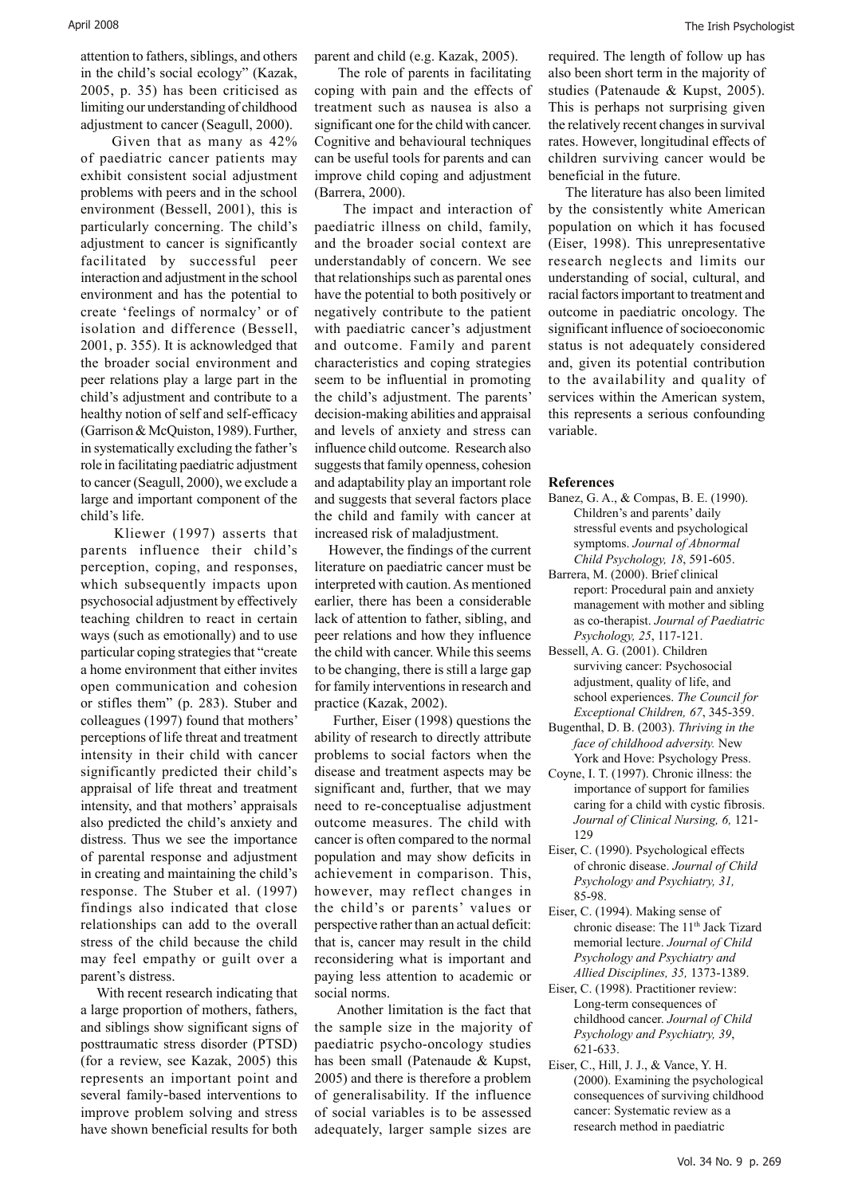attention to fathers, siblings, and others in the child's social ecology" (Kazak, 2005, p. 35) has been criticised as limiting our understanding of childhood adjustment to cancer (Seagull, 2000).

 Given that as many as 42% of paediatric cancer patients may exhibit consistent social adjustment problems with peers and in the school environment (Bessell, 2001), this is particularly concerning. The child's adjustment to cancer is significantly facilitated by successful peer interaction and adjustment in the school environment and has the potential to create 'feelings of normalcy' or of isolation and difference (Bessell, 2001, p. 355). It is acknowledged that the broader social environment and peer relations play a large part in the child's adjustment and contribute to a healthy notion of self and self-efficacy (Garrison & McQuiston, 1989). Further, in systematically excluding the father's role in facilitating paediatric adjustment to cancer (Seagull, 2000), we exclude a large and important component of the child's life.

 Kliewer (1997) asserts that parents influence their child's perception, coping, and responses, which subsequently impacts upon psychosocial adjustment by effectively teaching children to react in certain ways (such as emotionally) and to use particular coping strategies that "create a home environment that either invites open communication and cohesion or stifles them" (p. 283). Stuber and colleagues (1997) found that mothers' perceptions of life threat and treatment intensity in their child with cancer significantly predicted their child's appraisal of life threat and treatment intensity, and that mothers' appraisals also predicted the child's anxiety and distress. Thus we see the importance of parental response and adjustment in creating and maintaining the child's response. The Stuber et al. (1997) findings also indicated that close relationships can add to the overall stress of the child because the child may feel empathy or guilt over a parent's distress.

 With recent research indicating that a large proportion of mothers, fathers, and siblings show significant signs of posttraumatic stress disorder (PTSD) (for a review, see Kazak, 2005) this represents an important point and several family-based interventions to improve problem solving and stress have shown beneficial results for both

parent and child (e.g. Kazak, 2005).

 The role of parents in facilitating coping with pain and the effects of treatment such as nausea is also a significant one for the child with cancer. Cognitive and behavioural techniques can be useful tools for parents and can improve child coping and adjustment (Barrera, 2000).

 The impact and interaction of paediatric illness on child, family, and the broader social context are understandably of concern. We see that relationships such as parental ones have the potential to both positively or negatively contribute to the patient with paediatric cancer's adjustment and outcome. Family and parent characteristics and coping strategies seem to be influential in promoting the child's adjustment. The parents' decision-making abilities and appraisal and levels of anxiety and stress can influence child outcome. Research also suggests that family openness, cohesion and adaptability play an important role and suggests that several factors place the child and family with cancer at increased risk of maladjustment.

 However, the findings of the current literature on paediatric cancer must be interpreted with caution. As mentioned earlier, there has been a considerable lack of attention to father, sibling, and peer relations and how they influence the child with cancer. While this seems to be changing, there is still a large gap for family interventions in research and practice (Kazak, 2002).

 Further, Eiser (1998) questions the ability of research to directly attribute problems to social factors when the disease and treatment aspects may be significant and, further, that we may need to re-conceptualise adjustment outcome measures. The child with cancer is often compared to the normal population and may show deficits in achievement in comparison. This, however, may reflect changes in the child's or parents' values or perspective rather than an actual deficit: that is, cancer may result in the child reconsidering what is important and paying less attention to academic or social norms.

 Another limitation is the fact that the sample size in the majority of paediatric psycho-oncology studies has been small (Patenaude & Kupst, 2005) and there is therefore a problem of generalisability. If the influence of social variables is to be assessed adequately, larger sample sizes are

required. The length of follow up has also been short term in the majority of studies (Patenaude & Kupst, 2005). This is perhaps not surprising given the relatively recent changes in survival rates. However, longitudinal effects of children surviving cancer would be beneficial in the future.

 The literature has also been limited by the consistently white American population on which it has focused (Eiser, 1998). This unrepresentative research neglects and limits our understanding of social, cultural, and racial factors important to treatment and outcome in paediatric oncology. The significant influence of socioeconomic status is not adequately considered and, given its potential contribution to the availability and quality of services within the American system, this represents a serious confounding variable.

## **References**

- Banez, G. A., & Compas, B. E. (1990). Children's and parents' daily stressful events and psychological symptoms. *Journal of Abnormal Child Psychology, 18*, 591-605.
- Barrera, M. (2000). Brief clinical report: Procedural pain and anxiety management with mother and sibling as co-therapist. *Journal of Paediatric Psychology, 25*, 117-121.
- Bessell, A. G. (2001). Children surviving cancer: Psychosocial adjustment, quality of life, and school experiences. *The Council for Exceptional Children, 67*, 345-359.
- Bugenthal, D. B. (2003). *Thriving in the face of childhood adversity.* New York and Hove: Psychology Press.
- Coyne, I. T. (1997). Chronic illness: the importance of support for families caring for a child with cystic fibrosis. *Journal of Clinical Nursing, 6,* 121- 129
- Eiser, C. (1990). Psychological effects of chronic disease. *Journal of Child Psychology and Psychiatry, 31,* 85-98.
- Eiser, C. (1994). Making sense of chronic disease: The 11<sup>th</sup> Jack Tizard memorial lecture. *Journal of Child Psychology and Psychiatry and Allied Disciplines, 35,* 1373-1389.
- Eiser, C. (1998). Practitioner review: Long-term consequences of childhood cancer. *Journal of Child Psychology and Psychiatry, 39*, 621-633.
- Eiser, C., Hill, J. J., & Vance, Y. H. (2000). Examining the psychological consequences of surviving childhood cancer: Systematic review as a research method in paediatric